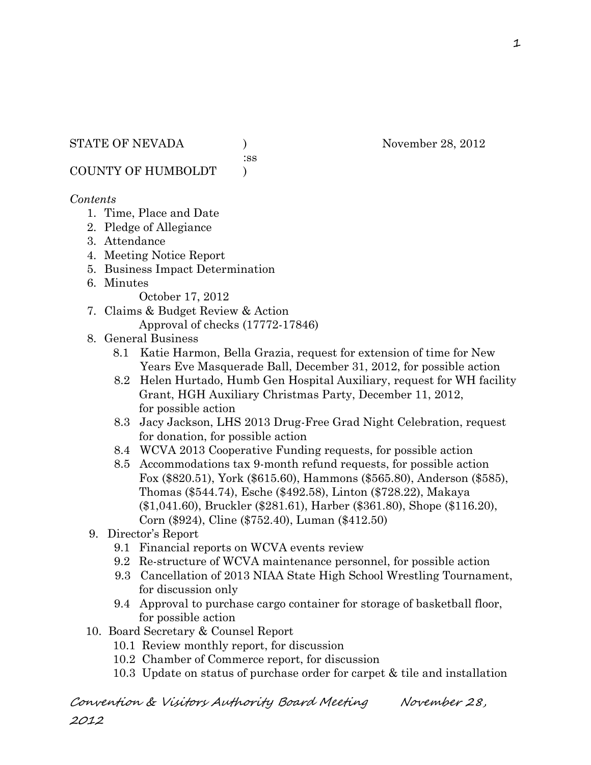:ss

COUNTY OF HUMBOLDT )

### *Contents*

- 1. Time, Place and Date
- 2. Pledge of Allegiance
- 3. Attendance
- 4. Meeting Notice Report
- 5. Business Impact Determination
- 6. Minutes

October 17, 2012

- 7. Claims & Budget Review & Action Approval of checks (17772-17846)
- 8. General Business
	- 8.1 Katie Harmon, Bella Grazia, request for extension of time for New Years Eve Masquerade Ball, December 31, 2012, for possible action
	- 8.2 Helen Hurtado, Humb Gen Hospital Auxiliary, request for WH facility Grant, HGH Auxiliary Christmas Party, December 11, 2012, for possible action
	- 8.3 Jacy Jackson, LHS 2013 Drug-Free Grad Night Celebration, request for donation, for possible action
	- 8.4 WCVA 2013 Cooperative Funding requests, for possible action
	- 8.5 Accommodations tax 9-month refund requests, for possible action Fox (\$820.51), York (\$615.60), Hammons (\$565.80), Anderson (\$585), Thomas (\$544.74), Esche (\$492.58), Linton (\$728.22), Makaya (\$1,041.60), Bruckler (\$281.61), Harber (\$361.80), Shope (\$116.20), Corn (\$924), Cline (\$752.40), Luman (\$412.50)
- 9. Director's Report
	- 9.1 Financial reports on WCVA events review
	- 9.2 Re-structure of WCVA maintenance personnel, for possible action
	- 9.3 Cancellation of 2013 NIAA State High School Wrestling Tournament, for discussion only
	- 9.4 Approval to purchase cargo container for storage of basketball floor, for possible action
- 10. Board Secretary & Counsel Report
	- 10.1 Review monthly report, for discussion
	- 10.2 Chamber of Commerce report, for discussion
	- 10.3 Update on status of purchase order for carpet & tile and installation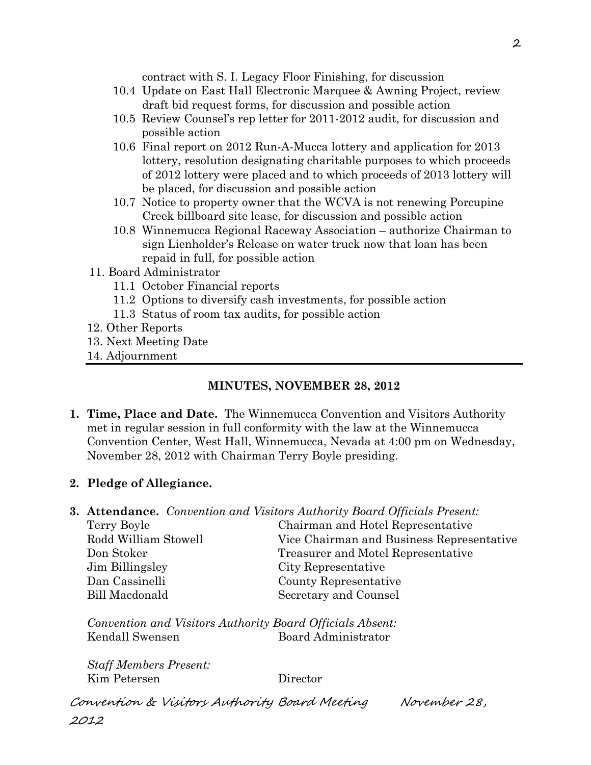contract with S. I. Legacy Floor Finishing, for discussion

- 10.4 Update on East Hall Electronic Marquee & Awning Project, review draft bid request forms, for discussion and possible action
- 10.5 Review Counsel's rep letter for 2011-2012 audit, for discussion and possible action
- 10.6 Final report on 2012 Run-A-Mucca lottery and application for 2013 lottery, resolution designating charitable purposes to which proceeds of 2012 lottery were placed and to which proceeds of 2013 lottery will be placed, for discussion and possible action
- 10.7 Notice to property owner that the WCVA is not renewing Porcupine Creek billboard site lease, for discussion and possible action
- 10.8 Winnemucca Regional Raceway Association authorize Chairman to sign Lienholder's Release on water truck now that loan has been repaid in full, for possible action
- 11. Board Administrator
	- 11.1 October Financial reports
	- 11.2 Options to diversify cash investments, for possible action
	- 11.3 Status of room tax audits, for possible action
- 12. Other Reports
- 13. Next Meeting Date
- 14. Adjournment

# **MINUTES, NOVEMBER 28, 2012**

- **1. Time, Place and Date.** The Winnemucca Convention and Visitors Authority met in regular session in full conformity with the law at the Winnemucca Convention Center, West Hall, Winnemucca, Nevada at 4:00 pm on Wednesday, November 28, 2012 with Chairman Terry Boyle presiding.
- **2. Pledge of Allegiance.**
- **3. Attendance.** *Convention and Visitors Authority Board Officials Present:*

| Chairman and Hotel Representative         |
|-------------------------------------------|
| Vice Chairman and Business Representative |
| Treasurer and Motel Representative        |
| City Representative                       |
| County Representative                     |
| Secretary and Counsel                     |
|                                           |

*Convention and Visitors Authority Board Officials Absent:* Kendall Swensen Board Administrator

*Staff Members Present:* Kim Petersen Director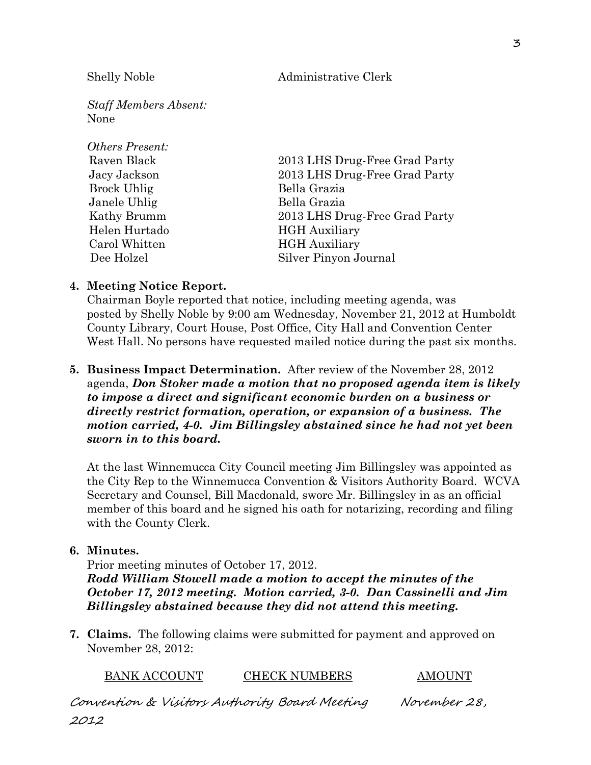Shelly Noble Administrative Clerk

*Staff Members Absent:* None

| <b>Others Present:</b> |                               |
|------------------------|-------------------------------|
| Raven Black            | 2013 LHS Drug-Free Grad Party |
| Jacy Jackson           | 2013 LHS Drug-Free Grad Party |
| <b>Brock Uhlig</b>     | Bella Grazia                  |
| Janele Uhlig           | Bella Grazia                  |
| Kathy Brumm            | 2013 LHS Drug-Free Grad Party |
| Helen Hurtado          | <b>HGH</b> Auxiliary          |
| Carol Whitten          | <b>HGH</b> Auxiliary          |
| Dee Holzel             | Silver Pinyon Journal         |

#### **4. Meeting Notice Report.**

Chairman Boyle reported that notice, including meeting agenda, was posted by Shelly Noble by 9:00 am Wednesday, November 21, 2012 at Humboldt County Library, Court House, Post Office, City Hall and Convention Center West Hall. No persons have requested mailed notice during the past six months.

**5. Business Impact Determination.** After review of the November 28, 2012 agenda, *Don Stoker made a motion that no proposed agenda item is likely to impose a direct and significant economic burden on a business or directly restrict formation, operation, or expansion of a business. The motion carried, 4-0. Jim Billingsley abstained since he had not yet been sworn in to this board.* 

At the last Winnemucca City Council meeting Jim Billingsley was appointed as the City Rep to the Winnemucca Convention & Visitors Authority Board. WCVA Secretary and Counsel, Bill Macdonald, swore Mr. Billingsley in as an official member of this board and he signed his oath for notarizing, recording and filing with the County Clerk.

#### **6. Minutes.**

Prior meeting minutes of October 17, 2012.

*Rodd William Stowell made a motion to accept the minutes of the October 17, 2012 meeting. Motion carried, 3-0. Dan Cassinelli and Jim Billingsley abstained because they did not attend this meeting.* 

**7. Claims.** The following claims were submitted for payment and approved on November 28, 2012:

BANK ACCOUNT CHECK NUMBERS AMOUNT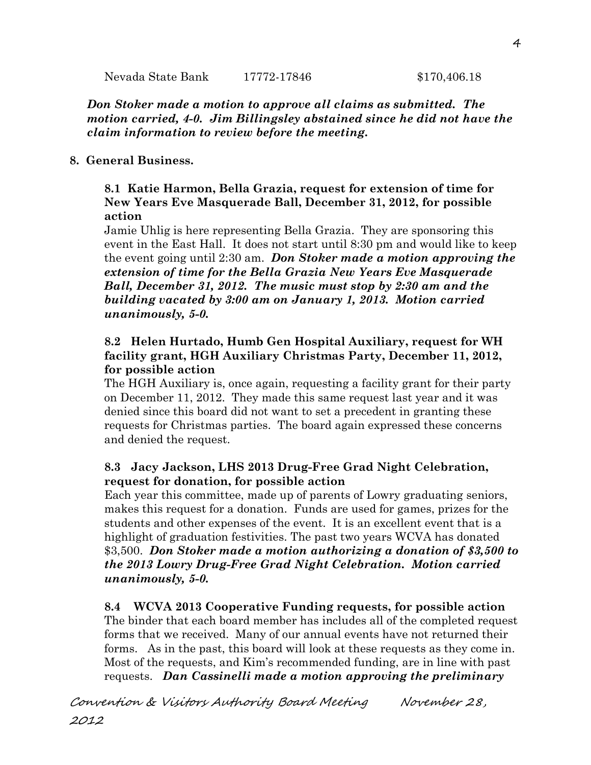Nevada State Bank 17772-17846 \$170,406.18

*Don Stoker made a motion to approve all claims as submitted. The motion carried, 4-0. Jim Billingsley abstained since he did not have the claim information to review before the meeting.*

## **8. General Business.**

### **8.1 Katie Harmon, Bella Grazia, request for extension of time for New Years Eve Masquerade Ball, December 31, 2012, for possible action**

Jamie Uhlig is here representing Bella Grazia. They are sponsoring this event in the East Hall. It does not start until 8:30 pm and would like to keep the event going until 2:30 am. *Don Stoker made a motion approving the extension of time for the Bella Grazia New Years Eve Masquerade Ball, December 31, 2012. The music must stop by 2:30 am and the building vacated by 3:00 am on January 1, 2013. Motion carried unanimously, 5-0.* 

# **8.2 Helen Hurtado, Humb Gen Hospital Auxiliary, request for WH facility grant, HGH Auxiliary Christmas Party, December 11, 2012, for possible action**

The HGH Auxiliary is, once again, requesting a facility grant for their party on December 11, 2012. They made this same request last year and it was denied since this board did not want to set a precedent in granting these requests for Christmas parties. The board again expressed these concerns and denied the request.

# **8.3 Jacy Jackson, LHS 2013 Drug-Free Grad Night Celebration, request for donation, for possible action**

Each year this committee, made up of parents of Lowry graduating seniors, makes this request for a donation. Funds are used for games, prizes for the students and other expenses of the event. It is an excellent event that is a highlight of graduation festivities. The past two years WCVA has donated \$3,500. *Don Stoker made a motion authorizing a donation of \$3,500 to the 2013 Lowry Drug-Free Grad Night Celebration. Motion carried unanimously, 5-0.* 

# **8.4 WCVA 2013 Cooperative Funding requests, for possible action**

The binder that each board member has includes all of the completed request forms that we received. Many of our annual events have not returned their forms. As in the past, this board will look at these requests as they come in. Most of the requests, and Kim's recommended funding, are in line with past requests. *Dan Cassinelli made a motion approving the preliminary*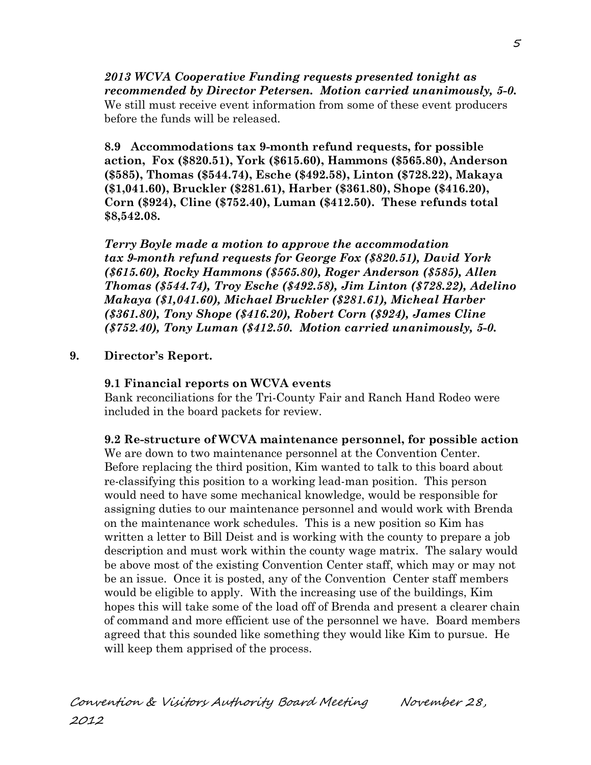*2013 WCVA Cooperative Funding requests presented tonight as recommended by Director Petersen. Motion carried unanimously, 5-0.*  We still must receive event information from some of these event producers before the funds will be released.

**8.9 Accommodations tax 9-month refund requests, for possible action, Fox (\$820.51), York (\$615.60), Hammons (\$565.80), Anderson (\$585), Thomas (\$544.74), Esche (\$492.58), Linton (\$728.22), Makaya (\$1,041.60), Bruckler (\$281.61), Harber (\$361.80), Shope (\$416.20), Corn (\$924), Cline (\$752.40), Luman (\$412.50). These refunds total \$8,542.08.**

*Terry Boyle made a motion to approve the accommodation tax 9-month refund requests for George Fox (\$820.51), David York (\$615.60), Rocky Hammons (\$565.80), Roger Anderson (\$585), Allen Thomas (\$544.74), Troy Esche (\$492.58), Jim Linton (\$728.22), Adelino Makaya (\$1,041.60), Michael Bruckler (\$281.61), Micheal Harber (\$361.80), Tony Shope (\$416.20), Robert Corn (\$924), James Cline (\$752.40), Tony Luman (\$412.50. Motion carried unanimously, 5-0.*

#### **9. Director's Report.**

#### **9.1 Financial reports on WCVA events**

Bank reconciliations for the Tri-County Fair and Ranch Hand Rodeo were included in the board packets for review.

#### **9.2 Re-structure of WCVA maintenance personnel, for possible action**

We are down to two maintenance personnel at the Convention Center. Before replacing the third position, Kim wanted to talk to this board about re-classifying this position to a working lead-man position. This person would need to have some mechanical knowledge, would be responsible for assigning duties to our maintenance personnel and would work with Brenda on the maintenance work schedules. This is a new position so Kim has written a letter to Bill Deist and is working with the county to prepare a job description and must work within the county wage matrix. The salary would be above most of the existing Convention Center staff, which may or may not be an issue. Once it is posted, any of the Convention Center staff members would be eligible to apply. With the increasing use of the buildings, Kim hopes this will take some of the load off of Brenda and present a clearer chain of command and more efficient use of the personnel we have. Board members agreed that this sounded like something they would like Kim to pursue. He will keep them apprised of the process.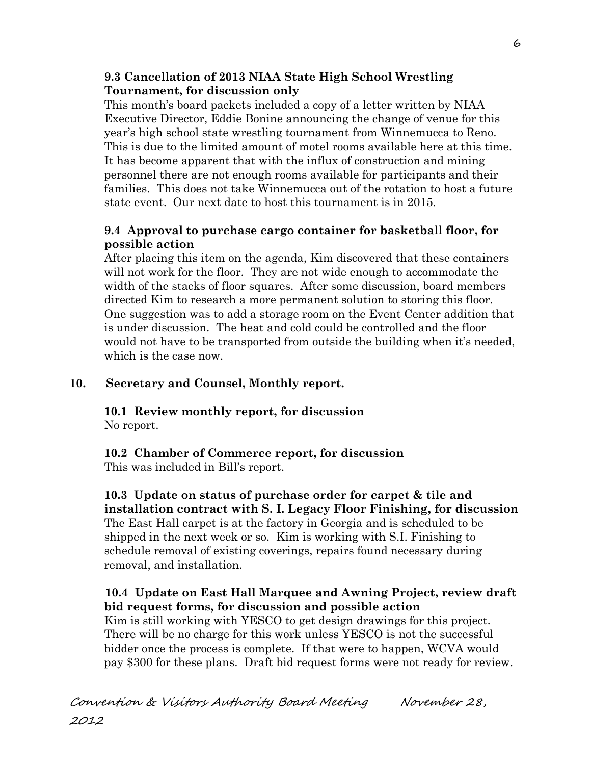# **9.3 Cancellation of 2013 NIAA State High School Wrestling Tournament, for discussion only**

This month's board packets included a copy of a letter written by NIAA Executive Director, Eddie Bonine announcing the change of venue for this year's high school state wrestling tournament from Winnemucca to Reno. This is due to the limited amount of motel rooms available here at this time. It has become apparent that with the influx of construction and mining personnel there are not enough rooms available for participants and their families. This does not take Winnemucca out of the rotation to host a future state event. Our next date to host this tournament is in 2015.

# **9.4 Approval to purchase cargo container for basketball floor, for possible action**

After placing this item on the agenda, Kim discovered that these containers will not work for the floor. They are not wide enough to accommodate the width of the stacks of floor squares. After some discussion, board members directed Kim to research a more permanent solution to storing this floor. One suggestion was to add a storage room on the Event Center addition that is under discussion. The heat and cold could be controlled and the floor would not have to be transported from outside the building when it's needed, which is the case now.

# **10. Secretary and Counsel, Monthly report.**

**10.1 Review monthly report, for discussion** No report.

# **10.2 Chamber of Commerce report, for discussion**

This was included in Bill's report.

**10.3 Update on status of purchase order for carpet & tile and installation contract with S. I. Legacy Floor Finishing, for discussion** The East Hall carpet is at the factory in Georgia and is scheduled to be shipped in the next week or so. Kim is working with S.I. Finishing to schedule removal of existing coverings, repairs found necessary during removal, and installation.

# **10.4 Update on East Hall Marquee and Awning Project, review draft bid request forms, for discussion and possible action**

Kim is still working with YESCO to get design drawings for this project. There will be no charge for this work unless YESCO is not the successful bidder once the process is complete. If that were to happen, WCVA would pay \$300 for these plans. Draft bid request forms were not ready for review.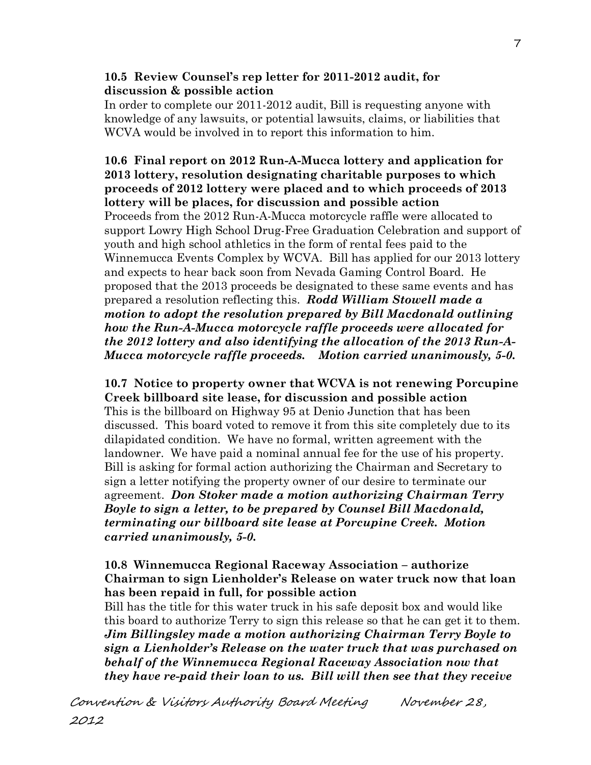#### **10.5 Review Counsel's rep letter for 2011-2012 audit, for discussion & possible action**

 In order to complete our 2011-2012 audit, Bill is requesting anyone with knowledge of any lawsuits, or potential lawsuits, claims, or liabilities that WCVA would be involved in to report this information to him.

## **10.6 Final report on 2012 Run-A-Mucca lottery and application for 2013 lottery, resolution designating charitable purposes to which proceeds of 2012 lottery were placed and to which proceeds of 2013 lottery will be places, for discussion and possible action** Proceeds from the 2012 Run-A-Mucca motorcycle raffle were allocated to support Lowry High School Drug-Free Graduation Celebration and support of youth and high school athletics in the form of rental fees paid to the Winnemucca Events Complex by WCVA. Bill has applied for our 2013 lottery and expects to hear back soon from Nevada Gaming Control Board. He proposed that the 2013 proceeds be designated to these same events and has prepared a resolution reflecting this. *Rodd William Stowell made a motion to adopt the resolution prepared by Bill Macdonald outlining how the Run-A-Mucca motorcycle raffle proceeds were allocated for the 2012 lottery and also identifying the allocation of the 2013 Run-A-Mucca motorcycle raffle proceeds. Motion carried unanimously, 5-0.*

**10.7 Notice to property owner that WCVA is not renewing Porcupine Creek billboard site lease, for discussion and possible action** This is the billboard on Highway 95 at Denio Junction that has been discussed. This board voted to remove it from this site completely due to its dilapidated condition. We have no formal, written agreement with the landowner. We have paid a nominal annual fee for the use of his property. Bill is asking for formal action authorizing the Chairman and Secretary to sign a letter notifying the property owner of our desire to terminate our agreement. *Don Stoker made a motion authorizing Chairman Terry Boyle to sign a letter, to be prepared by Counsel Bill Macdonald, terminating our billboard site lease at Porcupine Creek. Motion carried unanimously, 5-0.* 

# **10.8 Winnemucca Regional Raceway Association – authorize Chairman to sign Lienholder's Release on water truck now that loan has been repaid in full, for possible action**

Bill has the title for this water truck in his safe deposit box and would like this board to authorize Terry to sign this release so that he can get it to them. *Jim Billingsley made a motion authorizing Chairman Terry Boyle to sign a Lienholder's Release on the water truck that was purchased on behalf of the Winnemucca Regional Raceway Association now that they have re-paid their loan to us. Bill will then see that they receive*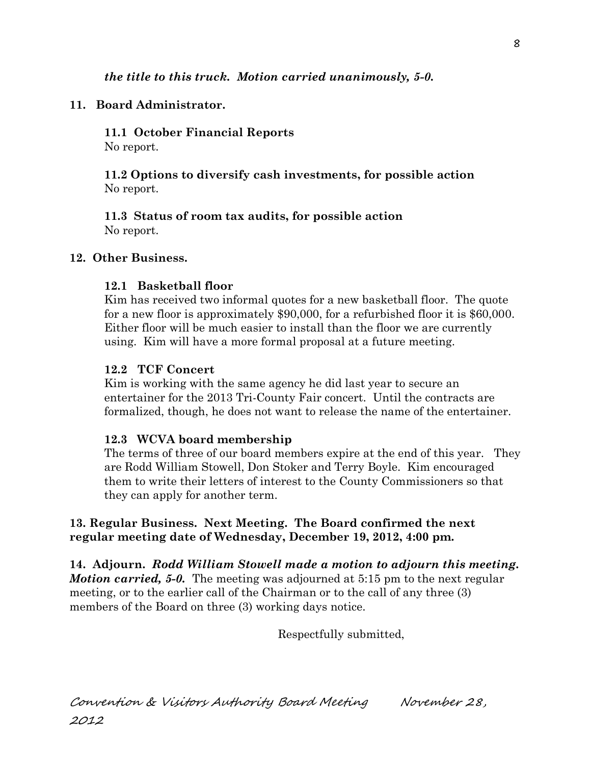# **11. Board Administrator.**

**11.1 October Financial Reports** No report.

**11.2 Options to diversify cash investments, for possible action** No report.

**11.3 Status of room tax audits, for possible action** No report.

### **12. Other Business.**

# **12.1 Basketball floor**

Kim has received two informal quotes for a new basketball floor. The quote for a new floor is approximately \$90,000, for a refurbished floor it is \$60,000. Either floor will be much easier to install than the floor we are currently using. Kim will have a more formal proposal at a future meeting.

#### **12.2 TCF Concert**

Kim is working with the same agency he did last year to secure an entertainer for the 2013 Tri-County Fair concert. Until the contracts are formalized, though, he does not want to release the name of the entertainer.

#### **12.3 WCVA board membership**

The terms of three of our board members expire at the end of this year. They are Rodd William Stowell, Don Stoker and Terry Boyle. Kim encouraged them to write their letters of interest to the County Commissioners so that they can apply for another term.

### **13. Regular Business. Next Meeting. The Board confirmed the next regular meeting date of Wednesday, December 19, 2012, 4:00 pm.**

**14. Adjourn.** *Rodd William Stowell made a motion to adjourn this meeting. Motion carried, 5-0.* The meeting was adjourned at 5:15 pm to the next regular meeting, or to the earlier call of the Chairman or to the call of any three (3) members of the Board on three (3) working days notice.

Respectfully submitted,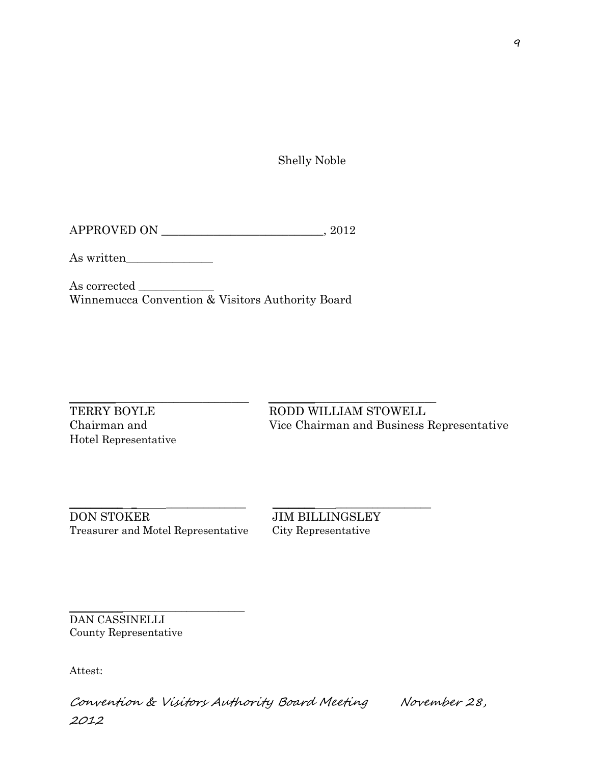Shelly Noble

APPROVED ON \_\_\_\_\_\_\_\_\_\_\_\_\_\_\_\_\_\_\_\_\_\_\_\_\_\_\_\_, 2012

As written\_\_\_\_\_\_\_\_\_\_\_\_\_\_\_

As corrected \_\_\_\_\_\_\_\_\_\_\_\_\_ Winnemucca Convention & Visitors Authority Board

 $\_$  ,  $\_$  ,  $\_$  ,  $\_$  ,  $\_$  ,  $\_$  ,  $\_$  ,  $\_$  ,  $\_$  ,  $\_$  ,  $\_$  ,  $\_$  ,  $\_$  ,  $\_$  ,  $\_$  ,  $\_$  ,  $\_$  ,  $\_$  ,  $\_$  ,  $\_$  ,  $\_$  ,  $\_$  ,  $\_$  ,  $\_$  ,  $\_$  ,  $\_$  ,  $\_$  ,  $\_$  ,  $\_$  ,  $\_$  ,  $\_$  ,  $\_$  ,  $\_$  ,  $\_$  ,  $\_$  ,  $\_$  ,  $\_$  ,

Hotel Representative

TERRY BOYLE RODD WILLIAM STOWELL Chairman and Vice Chairman and Business Representative

\_\_\_\_\_\_\_\_\_\_ \_ \_\_\_\_\_\_\_\_\_\_\_\_\_\_\_ \_\_\_\_\_\_\_\_ \_\_\_\_\_\_\_\_\_\_\_\_\_\_\_\_\_\_ DON STOKER JIM BILLINGSLEY Treasurer and Motel Representative City Representative

\_\_\_\_\_\_\_\_\_\_\_\_\_\_\_\_\_\_\_\_\_\_\_\_\_\_\_\_\_\_\_\_\_

DAN CASSINELLI County Representative

Attest: